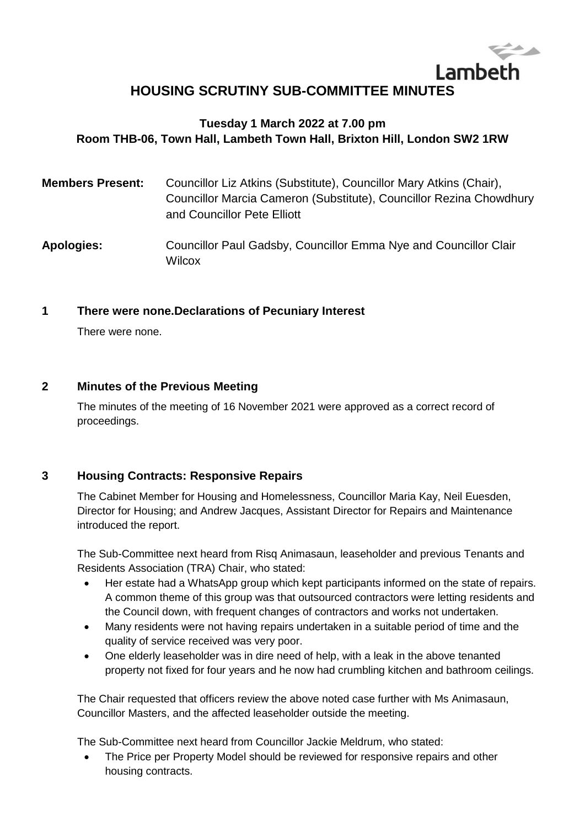# Lambeth **HOUSING SCRUTINY SUB-COMMITTEE MINUTES**

# **Tuesday 1 March 2022 at 7.00 pm Room THB-06, Town Hall, Lambeth Town Hall, Brixton Hill, London SW2 1RW**

| <b>Members Present:</b> | Councillor Liz Atkins (Substitute), Councillor Mary Atkins (Chair),<br>Councillor Marcia Cameron (Substitute), Councillor Rezina Chowdhury<br>and Councillor Pete Elliott |
|-------------------------|---------------------------------------------------------------------------------------------------------------------------------------------------------------------------|
| <b>Apologies:</b>       | Councillor Paul Gadsby, Councillor Emma Nye and Councillor Clair<br>Wilcox                                                                                                |

## **1 There were none.Declarations of Pecuniary Interest**

There were none.

#### **2 Minutes of the Previous Meeting**

The minutes of the meeting of 16 November 2021 were approved as a correct record of proceedings.

## **3 Housing Contracts: Responsive Repairs**

The Cabinet Member for Housing and Homelessness, Councillor Maria Kay, Neil Euesden, Director for Housing; and Andrew Jacques, Assistant Director for Repairs and Maintenance introduced the report.

The Sub-Committee next heard from Risq Animasaun, leaseholder and previous Tenants and Residents Association (TRA) Chair, who stated:

- Her estate had a WhatsApp group which kept participants informed on the state of repairs. A common theme of this group was that outsourced contractors were letting residents and the Council down, with frequent changes of contractors and works not undertaken.
- Many residents were not having repairs undertaken in a suitable period of time and the quality of service received was very poor.
- One elderly leaseholder was in dire need of help, with a leak in the above tenanted property not fixed for four years and he now had crumbling kitchen and bathroom ceilings.

The Chair requested that officers review the above noted case further with Ms Animasaun, Councillor Masters, and the affected leaseholder outside the meeting.

The Sub-Committee next heard from Councillor Jackie Meldrum, who stated:

 The Price per Property Model should be reviewed for responsive repairs and other housing contracts.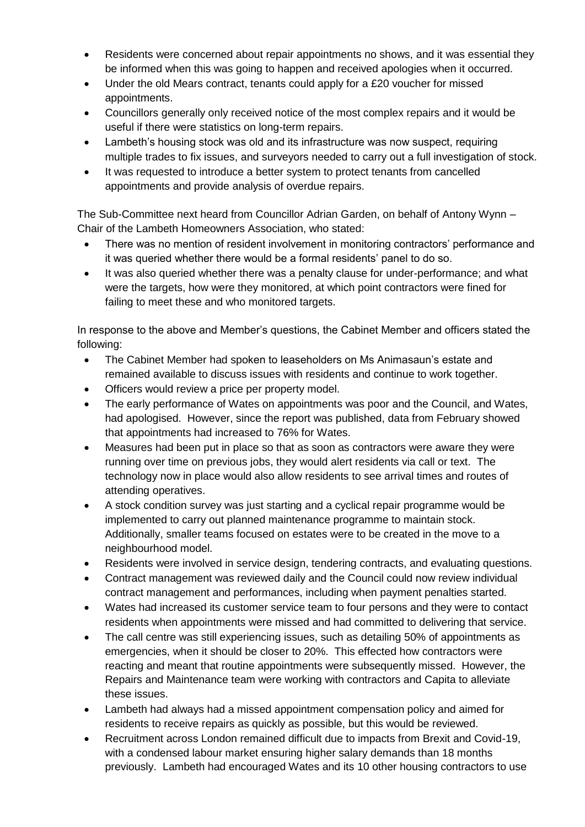- Residents were concerned about repair appointments no shows, and it was essential they be informed when this was going to happen and received apologies when it occurred.
- Under the old Mears contract, tenants could apply for a £20 voucher for missed appointments.
- Councillors generally only received notice of the most complex repairs and it would be useful if there were statistics on long-term repairs.
- Lambeth's housing stock was old and its infrastructure was now suspect, requiring multiple trades to fix issues, and surveyors needed to carry out a full investigation of stock.
- It was requested to introduce a better system to protect tenants from cancelled appointments and provide analysis of overdue repairs.

The Sub-Committee next heard from Councillor Adrian Garden, on behalf of Antony Wynn – Chair of the Lambeth Homeowners Association, who stated:

- There was no mention of resident involvement in monitoring contractors' performance and it was queried whether there would be a formal residents' panel to do so.
- It was also queried whether there was a penalty clause for under-performance; and what were the targets, how were they monitored, at which point contractors were fined for failing to meet these and who monitored targets.

In response to the above and Member's questions, the Cabinet Member and officers stated the following:

- The Cabinet Member had spoken to leaseholders on Ms Animasaun's estate and remained available to discuss issues with residents and continue to work together.
- Officers would review a price per property model.
- The early performance of Wates on appointments was poor and the Council, and Wates, had apologised. However, since the report was published, data from February showed that appointments had increased to 76% for Wates.
- Measures had been put in place so that as soon as contractors were aware they were running over time on previous jobs, they would alert residents via call or text. The technology now in place would also allow residents to see arrival times and routes of attending operatives.
- A stock condition survey was just starting and a cyclical repair programme would be implemented to carry out planned maintenance programme to maintain stock. Additionally, smaller teams focused on estates were to be created in the move to a neighbourhood model.
- Residents were involved in service design, tendering contracts, and evaluating questions.
- Contract management was reviewed daily and the Council could now review individual contract management and performances, including when payment penalties started.
- Wates had increased its customer service team to four persons and they were to contact residents when appointments were missed and had committed to delivering that service.
- The call centre was still experiencing issues, such as detailing 50% of appointments as emergencies, when it should be closer to 20%. This effected how contractors were reacting and meant that routine appointments were subsequently missed. However, the Repairs and Maintenance team were working with contractors and Capita to alleviate these issues.
- Lambeth had always had a missed appointment compensation policy and aimed for residents to receive repairs as quickly as possible, but this would be reviewed.
- Recruitment across London remained difficult due to impacts from Brexit and Covid-19, with a condensed labour market ensuring higher salary demands than 18 months previously. Lambeth had encouraged Wates and its 10 other housing contractors to use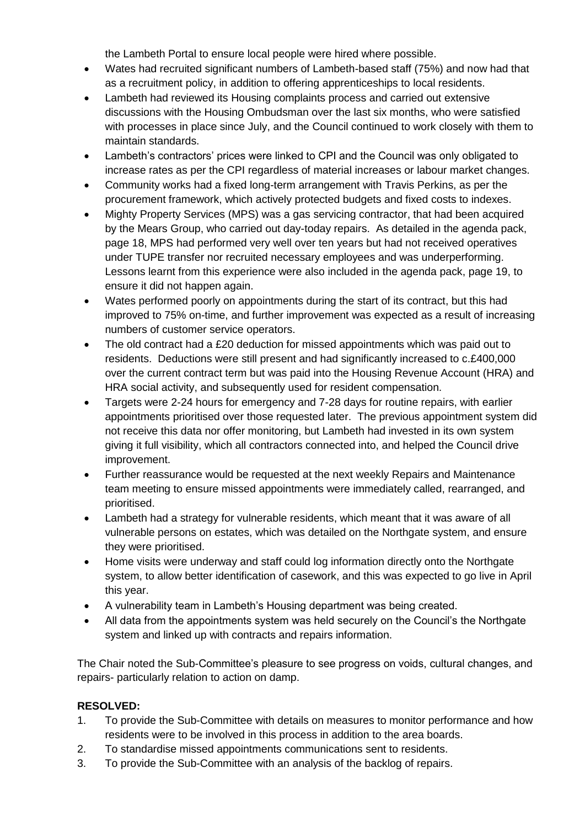the Lambeth Portal to ensure local people were hired where possible.

- Wates had recruited significant numbers of Lambeth-based staff (75%) and now had that as a recruitment policy, in addition to offering apprenticeships to local residents.
- Lambeth had reviewed its Housing complaints process and carried out extensive discussions with the Housing Ombudsman over the last six months, who were satisfied with processes in place since July, and the Council continued to work closely with them to maintain standards.
- Lambeth's contractors' prices were linked to CPI and the Council was only obligated to increase rates as per the CPI regardless of material increases or labour market changes.
- Community works had a fixed long-term arrangement with Travis Perkins, as per the procurement framework, which actively protected budgets and fixed costs to indexes.
- Mighty Property Services (MPS) was a gas servicing contractor, that had been acquired by the Mears Group, who carried out day-today repairs. As detailed in the agenda pack, page 18, MPS had performed very well over ten years but had not received operatives under TUPE transfer nor recruited necessary employees and was underperforming. Lessons learnt from this experience were also included in the agenda pack, page 19, to ensure it did not happen again.
- Wates performed poorly on appointments during the start of its contract, but this had improved to 75% on-time, and further improvement was expected as a result of increasing numbers of customer service operators.
- The old contract had a £20 deduction for missed appointments which was paid out to residents. Deductions were still present and had significantly increased to c.£400,000 over the current contract term but was paid into the Housing Revenue Account (HRA) and HRA social activity, and subsequently used for resident compensation.
- Targets were 2-24 hours for emergency and 7-28 days for routine repairs, with earlier appointments prioritised over those requested later. The previous appointment system did not receive this data nor offer monitoring, but Lambeth had invested in its own system giving it full visibility, which all contractors connected into, and helped the Council drive improvement.
- Further reassurance would be requested at the next weekly Repairs and Maintenance team meeting to ensure missed appointments were immediately called, rearranged, and prioritised.
- Lambeth had a strategy for vulnerable residents, which meant that it was aware of all vulnerable persons on estates, which was detailed on the Northgate system, and ensure they were prioritised.
- Home visits were underway and staff could log information directly onto the Northgate system, to allow better identification of casework, and this was expected to go live in April this year.
- A vulnerability team in Lambeth's Housing department was being created.
- All data from the appointments system was held securely on the Council's the Northgate system and linked up with contracts and repairs information.

The Chair noted the Sub-Committee's pleasure to see progress on voids, cultural changes, and repairs- particularly relation to action on damp.

#### **RESOLVED:**

- 1. To provide the Sub-Committee with details on measures to monitor performance and how residents were to be involved in this process in addition to the area boards.
- 2. To standardise missed appointments communications sent to residents.
- 3. To provide the Sub-Committee with an analysis of the backlog of repairs.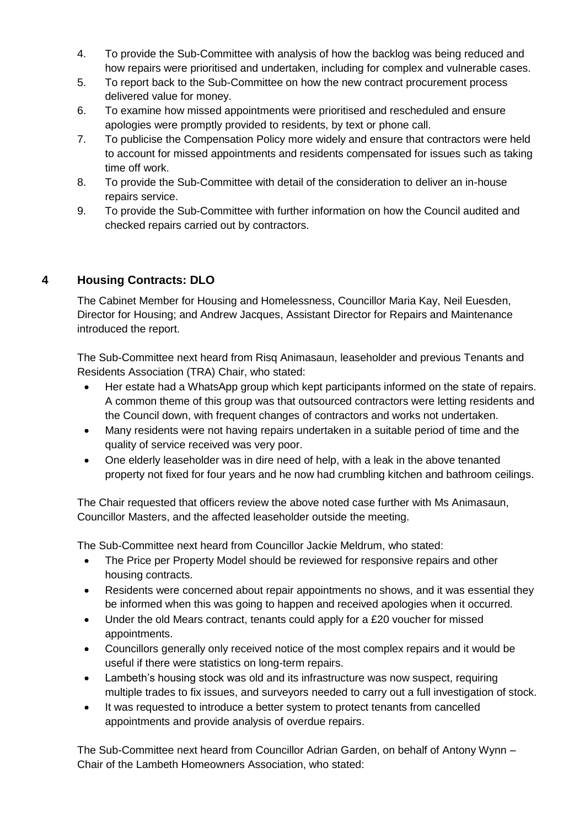- 4. To provide the Sub-Committee with analysis of how the backlog was being reduced and how repairs were prioritised and undertaken, including for complex and vulnerable cases.
- 5. To report back to the Sub-Committee on how the new contract procurement process delivered value for money.
- 6. To examine how missed appointments were prioritised and rescheduled and ensure apologies were promptly provided to residents, by text or phone call.
- 7. To publicise the Compensation Policy more widely and ensure that contractors were held to account for missed appointments and residents compensated for issues such as taking time off work.
- 8. To provide the Sub-Committee with detail of the consideration to deliver an in-house repairs service.
- 9. To provide the Sub-Committee with further information on how the Council audited and checked repairs carried out by contractors.

# **4 Housing Contracts: DLO**

The Cabinet Member for Housing and Homelessness, Councillor Maria Kay, Neil Euesden, Director for Housing; and Andrew Jacques, Assistant Director for Repairs and Maintenance introduced the report.

The Sub-Committee next heard from Risq Animasaun, leaseholder and previous Tenants and Residents Association (TRA) Chair, who stated:

- Her estate had a WhatsApp group which kept participants informed on the state of repairs. A common theme of this group was that outsourced contractors were letting residents and the Council down, with frequent changes of contractors and works not undertaken.
- Many residents were not having repairs undertaken in a suitable period of time and the quality of service received was very poor.
- One elderly leaseholder was in dire need of help, with a leak in the above tenanted property not fixed for four years and he now had crumbling kitchen and bathroom ceilings.

The Chair requested that officers review the above noted case further with Ms Animasaun, Councillor Masters, and the affected leaseholder outside the meeting.

The Sub-Committee next heard from Councillor Jackie Meldrum, who stated:

- The Price per Property Model should be reviewed for responsive repairs and other housing contracts.
- Residents were concerned about repair appointments no shows, and it was essential they be informed when this was going to happen and received apologies when it occurred.
- Under the old Mears contract, tenants could apply for a £20 voucher for missed appointments.
- Councillors generally only received notice of the most complex repairs and it would be useful if there were statistics on long-term repairs.
- Lambeth's housing stock was old and its infrastructure was now suspect, requiring multiple trades to fix issues, and surveyors needed to carry out a full investigation of stock.
- It was requested to introduce a better system to protect tenants from cancelled appointments and provide analysis of overdue repairs.

The Sub-Committee next heard from Councillor Adrian Garden, on behalf of Antony Wynn – Chair of the Lambeth Homeowners Association, who stated: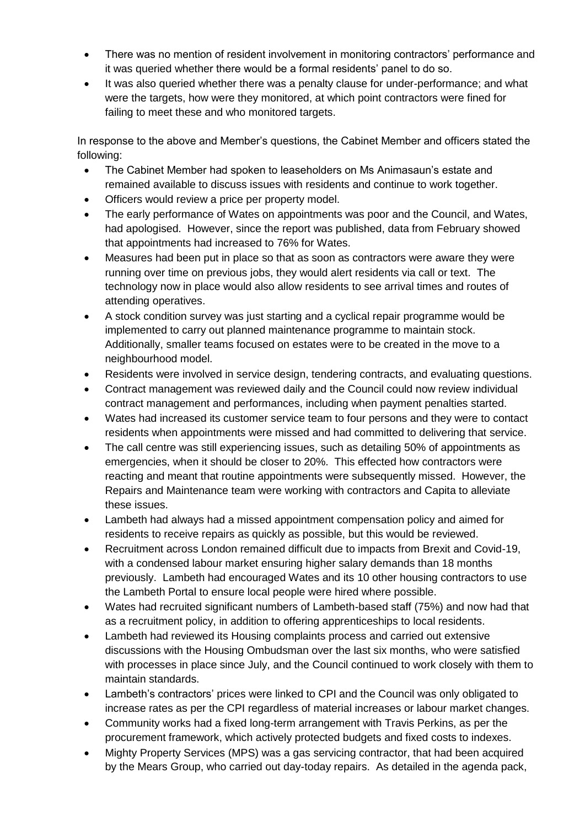- There was no mention of resident involvement in monitoring contractors' performance and it was queried whether there would be a formal residents' panel to do so.
- It was also queried whether there was a penalty clause for under-performance; and what were the targets, how were they monitored, at which point contractors were fined for failing to meet these and who monitored targets.

In response to the above and Member's questions, the Cabinet Member and officers stated the following:

- The Cabinet Member had spoken to leaseholders on Ms Animasaun's estate and remained available to discuss issues with residents and continue to work together.
- Officers would review a price per property model.
- The early performance of Wates on appointments was poor and the Council, and Wates, had apologised. However, since the report was published, data from February showed that appointments had increased to 76% for Wates.
- Measures had been put in place so that as soon as contractors were aware they were running over time on previous jobs, they would alert residents via call or text. The technology now in place would also allow residents to see arrival times and routes of attending operatives.
- A stock condition survey was just starting and a cyclical repair programme would be implemented to carry out planned maintenance programme to maintain stock. Additionally, smaller teams focused on estates were to be created in the move to a neighbourhood model.
- Residents were involved in service design, tendering contracts, and evaluating questions.
- Contract management was reviewed daily and the Council could now review individual contract management and performances, including when payment penalties started.
- Wates had increased its customer service team to four persons and they were to contact residents when appointments were missed and had committed to delivering that service.
- The call centre was still experiencing issues, such as detailing 50% of appointments as emergencies, when it should be closer to 20%. This effected how contractors were reacting and meant that routine appointments were subsequently missed. However, the Repairs and Maintenance team were working with contractors and Capita to alleviate these issues.
- Lambeth had always had a missed appointment compensation policy and aimed for residents to receive repairs as quickly as possible, but this would be reviewed.
- Recruitment across London remained difficult due to impacts from Brexit and Covid-19, with a condensed labour market ensuring higher salary demands than 18 months previously. Lambeth had encouraged Wates and its 10 other housing contractors to use the Lambeth Portal to ensure local people were hired where possible.
- Wates had recruited significant numbers of Lambeth-based staff (75%) and now had that as a recruitment policy, in addition to offering apprenticeships to local residents.
- Lambeth had reviewed its Housing complaints process and carried out extensive discussions with the Housing Ombudsman over the last six months, who were satisfied with processes in place since July, and the Council continued to work closely with them to maintain standards.
- Lambeth's contractors' prices were linked to CPI and the Council was only obligated to increase rates as per the CPI regardless of material increases or labour market changes.
- Community works had a fixed long-term arrangement with Travis Perkins, as per the procurement framework, which actively protected budgets and fixed costs to indexes.
- Mighty Property Services (MPS) was a gas servicing contractor, that had been acquired by the Mears Group, who carried out day-today repairs. As detailed in the agenda pack,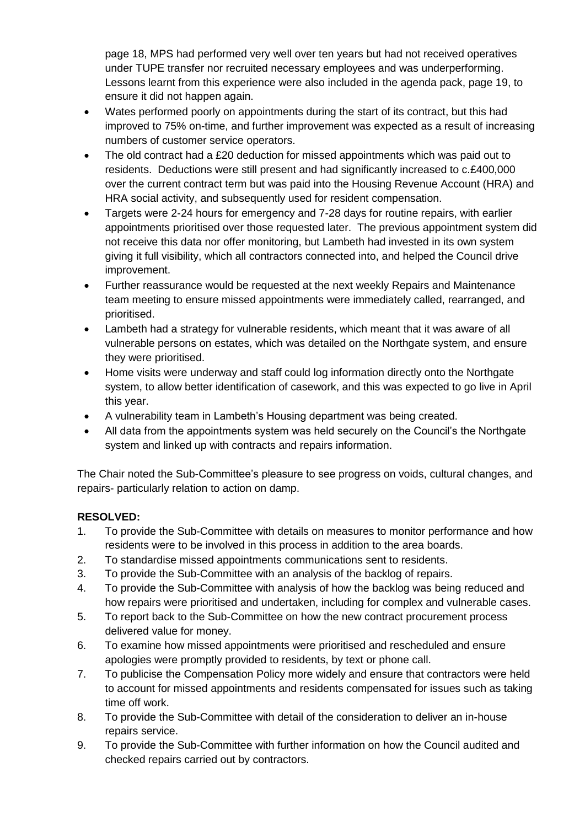page 18, MPS had performed very well over ten years but had not received operatives under TUPE transfer nor recruited necessary employees and was underperforming. Lessons learnt from this experience were also included in the agenda pack, page 19, to ensure it did not happen again.

- Wates performed poorly on appointments during the start of its contract, but this had improved to 75% on-time, and further improvement was expected as a result of increasing numbers of customer service operators.
- The old contract had a £20 deduction for missed appointments which was paid out to residents. Deductions were still present and had significantly increased to c.£400,000 over the current contract term but was paid into the Housing Revenue Account (HRA) and HRA social activity, and subsequently used for resident compensation.
- Targets were 2-24 hours for emergency and 7-28 days for routine repairs, with earlier appointments prioritised over those requested later. The previous appointment system did not receive this data nor offer monitoring, but Lambeth had invested in its own system giving it full visibility, which all contractors connected into, and helped the Council drive improvement.
- Further reassurance would be requested at the next weekly Repairs and Maintenance team meeting to ensure missed appointments were immediately called, rearranged, and prioritised.
- Lambeth had a strategy for vulnerable residents, which meant that it was aware of all vulnerable persons on estates, which was detailed on the Northgate system, and ensure they were prioritised.
- Home visits were underway and staff could log information directly onto the Northgate system, to allow better identification of casework, and this was expected to go live in April this year.
- A vulnerability team in Lambeth's Housing department was being created.
- All data from the appointments system was held securely on the Council's the Northgate system and linked up with contracts and repairs information.

The Chair noted the Sub-Committee's pleasure to see progress on voids, cultural changes, and repairs- particularly relation to action on damp.

## **RESOLVED:**

- 1. To provide the Sub-Committee with details on measures to monitor performance and how residents were to be involved in this process in addition to the area boards.
- 2. To standardise missed appointments communications sent to residents.
- 3. To provide the Sub-Committee with an analysis of the backlog of repairs.
- 4. To provide the Sub-Committee with analysis of how the backlog was being reduced and how repairs were prioritised and undertaken, including for complex and vulnerable cases.
- 5. To report back to the Sub-Committee on how the new contract procurement process delivered value for money.
- 6. To examine how missed appointments were prioritised and rescheduled and ensure apologies were promptly provided to residents, by text or phone call.
- 7. To publicise the Compensation Policy more widely and ensure that contractors were held to account for missed appointments and residents compensated for issues such as taking time off work.
- 8. To provide the Sub-Committee with detail of the consideration to deliver an in-house repairs service.
- 9. To provide the Sub-Committee with further information on how the Council audited and checked repairs carried out by contractors.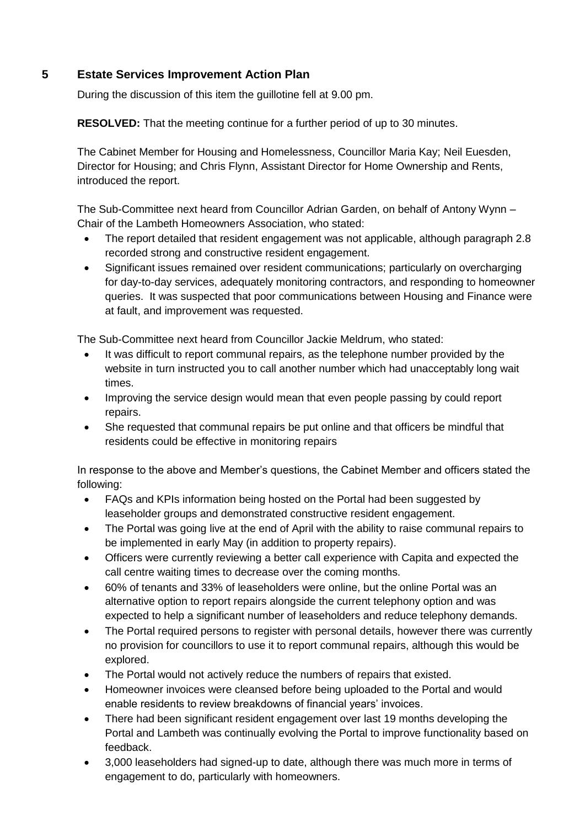#### **5 Estate Services Improvement Action Plan**

During the discussion of this item the guillotine fell at 9.00 pm.

**RESOLVED:** That the meeting continue for a further period of up to 30 minutes.

The Cabinet Member for Housing and Homelessness, Councillor Maria Kay; Neil Euesden, Director for Housing; and Chris Flynn, Assistant Director for Home Ownership and Rents, introduced the report.

The Sub-Committee next heard from Councillor Adrian Garden, on behalf of Antony Wynn – Chair of the Lambeth Homeowners Association, who stated:

- The report detailed that resident engagement was not applicable, although paragraph 2.8 recorded strong and constructive resident engagement.
- Significant issues remained over resident communications; particularly on overcharging for day-to-day services, adequately monitoring contractors, and responding to homeowner queries. It was suspected that poor communications between Housing and Finance were at fault, and improvement was requested.

The Sub-Committee next heard from Councillor Jackie Meldrum, who stated:

- It was difficult to report communal repairs, as the telephone number provided by the website in turn instructed you to call another number which had unacceptably long wait times.
- Improving the service design would mean that even people passing by could report repairs.
- She requested that communal repairs be put online and that officers be mindful that residents could be effective in monitoring repairs

In response to the above and Member's questions, the Cabinet Member and officers stated the following:

- FAQs and KPIs information being hosted on the Portal had been suggested by leaseholder groups and demonstrated constructive resident engagement.
- The Portal was going live at the end of April with the ability to raise communal repairs to be implemented in early May (in addition to property repairs).
- Officers were currently reviewing a better call experience with Capita and expected the call centre waiting times to decrease over the coming months.
- 60% of tenants and 33% of leaseholders were online, but the online Portal was an alternative option to report repairs alongside the current telephony option and was expected to help a significant number of leaseholders and reduce telephony demands.
- The Portal required persons to register with personal details, however there was currently no provision for councillors to use it to report communal repairs, although this would be explored.
- The Portal would not actively reduce the numbers of repairs that existed.
- Homeowner invoices were cleansed before being uploaded to the Portal and would enable residents to review breakdowns of financial years' invoices.
- There had been significant resident engagement over last 19 months developing the Portal and Lambeth was continually evolving the Portal to improve functionality based on feedback.
- 3,000 leaseholders had signed-up to date, although there was much more in terms of engagement to do, particularly with homeowners.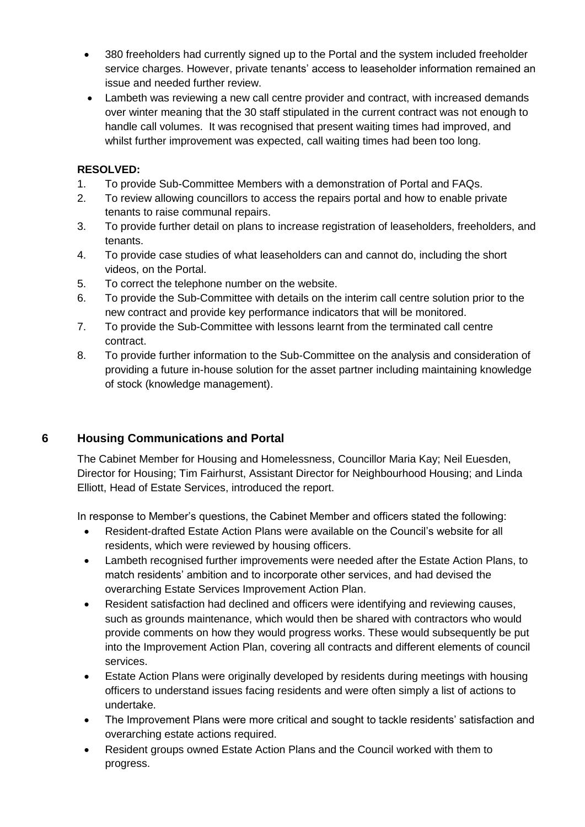- 380 freeholders had currently signed up to the Portal and the system included freeholder service charges. However, private tenants' access to leaseholder information remained an issue and needed further review.
- Lambeth was reviewing a new call centre provider and contract, with increased demands over winter meaning that the 30 staff stipulated in the current contract was not enough to handle call volumes. It was recognised that present waiting times had improved, and whilst further improvement was expected, call waiting times had been too long.

#### **RESOLVED:**

- 1. To provide Sub-Committee Members with a demonstration of Portal and FAQs.
- 2. To review allowing councillors to access the repairs portal and how to enable private tenants to raise communal repairs.
- 3. To provide further detail on plans to increase registration of leaseholders, freeholders, and tenants.
- 4. To provide case studies of what leaseholders can and cannot do, including the short videos, on the Portal.
- 5. To correct the telephone number on the website.
- 6. To provide the Sub-Committee with details on the interim call centre solution prior to the new contract and provide key performance indicators that will be monitored.
- 7. To provide the Sub-Committee with lessons learnt from the terminated call centre contract.
- 8. To provide further information to the Sub-Committee on the analysis and consideration of providing a future in-house solution for the asset partner including maintaining knowledge of stock (knowledge management).

## **6 Housing Communications and Portal**

The Cabinet Member for Housing and Homelessness, Councillor Maria Kay; Neil Euesden, Director for Housing; Tim Fairhurst, Assistant Director for Neighbourhood Housing; and Linda Elliott, Head of Estate Services, introduced the report.

In response to Member's questions, the Cabinet Member and officers stated the following:

- Resident-drafted Estate Action Plans were available on the Council's website for all residents, which were reviewed by housing officers.
- Lambeth recognised further improvements were needed after the Estate Action Plans, to match residents' ambition and to incorporate other services, and had devised the overarching Estate Services Improvement Action Plan.
- Resident satisfaction had declined and officers were identifying and reviewing causes, such as grounds maintenance, which would then be shared with contractors who would provide comments on how they would progress works. These would subsequently be put into the Improvement Action Plan, covering all contracts and different elements of council services.
- Estate Action Plans were originally developed by residents during meetings with housing officers to understand issues facing residents and were often simply a list of actions to undertake.
- The Improvement Plans were more critical and sought to tackle residents' satisfaction and overarching estate actions required.
- Resident groups owned Estate Action Plans and the Council worked with them to progress.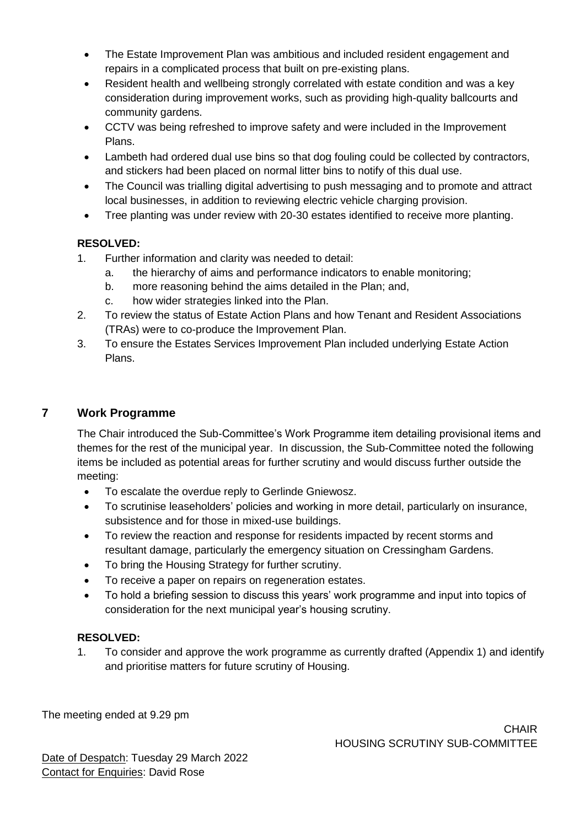- The Estate Improvement Plan was ambitious and included resident engagement and repairs in a complicated process that built on pre-existing plans.
- Resident health and wellbeing strongly correlated with estate condition and was a key consideration during improvement works, such as providing high-quality ballcourts and community gardens.
- CCTV was being refreshed to improve safety and were included in the Improvement Plans.
- Lambeth had ordered dual use bins so that dog fouling could be collected by contractors, and stickers had been placed on normal litter bins to notify of this dual use.
- The Council was trialling digital advertising to push messaging and to promote and attract local businesses, in addition to reviewing electric vehicle charging provision.
- Tree planting was under review with 20-30 estates identified to receive more planting.

#### **RESOLVED:**

- 1. Further information and clarity was needed to detail:
	- a. the hierarchy of aims and performance indicators to enable monitoring;
	- b. more reasoning behind the aims detailed in the Plan; and,
	- c. how wider strategies linked into the Plan.
- 2. To review the status of Estate Action Plans and how Tenant and Resident Associations (TRAs) were to co-produce the Improvement Plan.
- 3. To ensure the Estates Services Improvement Plan included underlying Estate Action Plans.

#### **7 Work Programme**

The Chair introduced the Sub-Committee's Work Programme item detailing provisional items and themes for the rest of the municipal year. In discussion, the Sub-Committee noted the following items be included as potential areas for further scrutiny and would discuss further outside the meeting:

- To escalate the overdue reply to Gerlinde Gniewosz.
- To scrutinise leaseholders' policies and working in more detail, particularly on insurance, subsistence and for those in mixed-use buildings.
- To review the reaction and response for residents impacted by recent storms and resultant damage, particularly the emergency situation on Cressingham Gardens.
- To bring the Housing Strategy for further scrutiny.
- To receive a paper on repairs on regeneration estates.
- To hold a briefing session to discuss this years' work programme and input into topics of consideration for the next municipal year's housing scrutiny.

## **RESOLVED:**

1. To consider and approve the work programme as currently drafted (Appendix 1) and identify and prioritise matters for future scrutiny of Housing.

The meeting ended at 9.29 pm